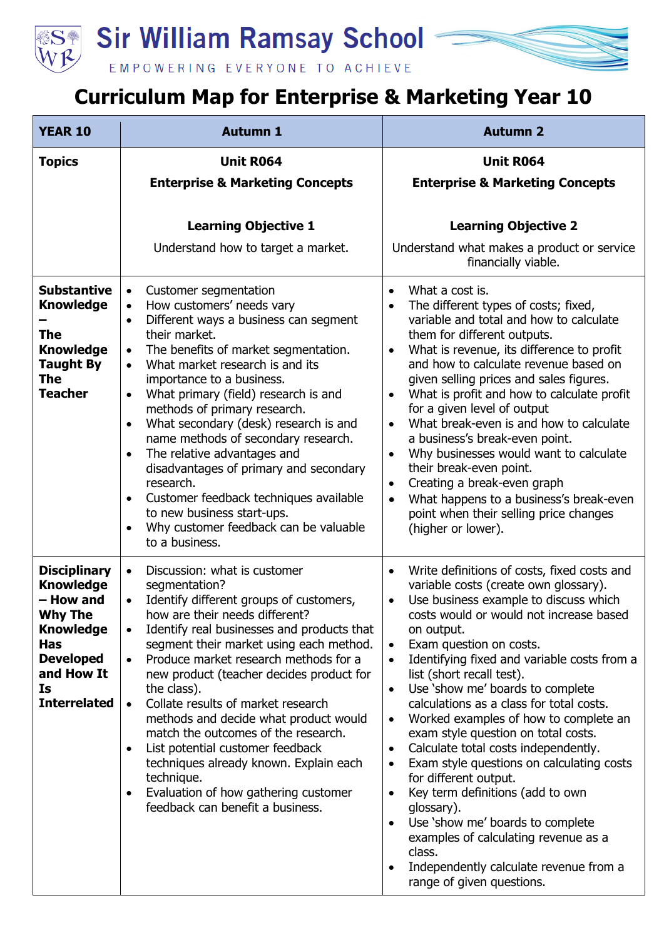**Sir William Ramsay School** 



## EMPOWERING EVERYONE TO ACHIEVE

## **Curriculum Map for Enterprise & Marketing Year 10**

| <b>YEAR 10</b>                                                                                                                                                          | <b>Autumn 1</b>                                                                                                                                                                                                                                                                                                                                                                                                                                                                                                                                                                                                                                              | <b>Autumn 2</b>                                                                                                                                                                                                                                                                                                                                                                                                                                                                                                                                                                                                                                                                                                                                                                                                                                |
|-------------------------------------------------------------------------------------------------------------------------------------------------------------------------|--------------------------------------------------------------------------------------------------------------------------------------------------------------------------------------------------------------------------------------------------------------------------------------------------------------------------------------------------------------------------------------------------------------------------------------------------------------------------------------------------------------------------------------------------------------------------------------------------------------------------------------------------------------|------------------------------------------------------------------------------------------------------------------------------------------------------------------------------------------------------------------------------------------------------------------------------------------------------------------------------------------------------------------------------------------------------------------------------------------------------------------------------------------------------------------------------------------------------------------------------------------------------------------------------------------------------------------------------------------------------------------------------------------------------------------------------------------------------------------------------------------------|
| <b>Topics</b>                                                                                                                                                           | <b>Unit R064</b><br><b>Enterprise &amp; Marketing Concepts</b>                                                                                                                                                                                                                                                                                                                                                                                                                                                                                                                                                                                               | <b>Unit R064</b><br><b>Enterprise &amp; Marketing Concepts</b>                                                                                                                                                                                                                                                                                                                                                                                                                                                                                                                                                                                                                                                                                                                                                                                 |
| <b>Substantive</b><br><b>Knowledge</b>                                                                                                                                  | <b>Learning Objective 1</b><br>Understand how to target a market.<br>Customer segmentation<br>$\bullet$<br>How customers' needs vary                                                                                                                                                                                                                                                                                                                                                                                                                                                                                                                         | <b>Learning Objective 2</b><br>Understand what makes a product or service<br>financially viable.<br>What a cost is.<br>$\bullet$<br>The different types of costs; fixed,<br>$\bullet$                                                                                                                                                                                                                                                                                                                                                                                                                                                                                                                                                                                                                                                          |
| <b>The</b><br><b>Knowledge</b><br><b>Taught By</b><br>The<br><b>Teacher</b>                                                                                             | Different ways a business can segment<br>their market.<br>The benefits of market segmentation.<br>$\bullet$<br>What market research is and its<br>importance to a business.<br>What primary (field) research is and<br>methods of primary research.<br>What secondary (desk) research is and<br>$\bullet$<br>name methods of secondary research.<br>The relative advantages and<br>disadvantages of primary and secondary<br>research.<br>Customer feedback techniques available<br>$\bullet$<br>to new business start-ups.<br>Why customer feedback can be valuable<br>to a business.                                                                       | variable and total and how to calculate<br>them for different outputs.<br>What is revenue, its difference to profit<br>$\bullet$<br>and how to calculate revenue based on<br>given selling prices and sales figures.<br>What is profit and how to calculate profit<br>for a given level of output<br>What break-even is and how to calculate<br>$\bullet$<br>a business's break-even point.<br>Why businesses would want to calculate<br>their break-even point.<br>Creating a break-even graph<br>$\bullet$<br>What happens to a business's break-even<br>$\bullet$<br>point when their selling price changes<br>(higher or lower).                                                                                                                                                                                                           |
| <b>Disciplinary</b><br><b>Knowledge</b><br>- How and<br><b>Why The</b><br><b>Knowledge</b><br><b>Has</b><br><b>Developed</b><br>and How It<br>Is<br><b>Interrelated</b> | Discussion: what is customer<br>$\bullet$<br>segmentation?<br>Identify different groups of customers,<br>how are their needs different?<br>Identify real businesses and products that<br>segment their market using each method.<br>Produce market research methods for a<br>$\bullet$<br>new product (teacher decides product for<br>the class).<br>Collate results of market research<br>methods and decide what product would<br>match the outcomes of the research.<br>List potential customer feedback<br>techniques already known. Explain each<br>technique.<br>Evaluation of how gathering customer<br>$\bullet$<br>feedback can benefit a business. | Write definitions of costs, fixed costs and<br>$\bullet$<br>variable costs (create own glossary).<br>Use business example to discuss which<br>costs would or would not increase based<br>on output.<br>Exam question on costs.<br>$\bullet$<br>Identifying fixed and variable costs from a<br>list (short recall test).<br>Use 'show me' boards to complete<br>calculations as a class for total costs.<br>Worked examples of how to complete an<br>exam style question on total costs.<br>Calculate total costs independently.<br>Exam style questions on calculating costs<br>for different output.<br>Key term definitions (add to own<br>$\bullet$<br>glossary).<br>Use 'show me' boards to complete<br>examples of calculating revenue as a<br>class.<br>Independently calculate revenue from a<br>$\bullet$<br>range of given questions. |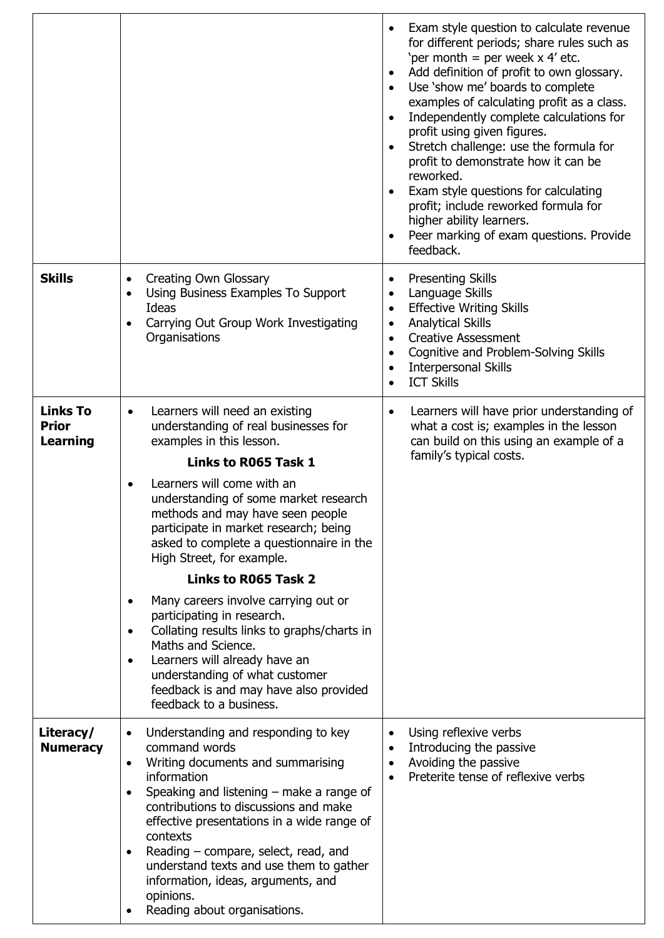|                                                    |                                                                                                                                                                                                                                                                                                                                                                                                                                                           | Exam style question to calculate revenue<br>for different periods; share rules such as<br>'per month = per week $x$ 4' etc.<br>Add definition of profit to own glossary.<br>$\bullet$<br>Use 'show me' boards to complete<br>examples of calculating profit as a class.<br>Independently complete calculations for<br>$\bullet$<br>profit using given figures.<br>Stretch challenge: use the formula for<br>profit to demonstrate how it can be<br>reworked.<br>Exam style questions for calculating<br>$\bullet$<br>profit; include reworked formula for<br>higher ability learners.<br>Peer marking of exam questions. Provide<br>feedback. |
|----------------------------------------------------|-----------------------------------------------------------------------------------------------------------------------------------------------------------------------------------------------------------------------------------------------------------------------------------------------------------------------------------------------------------------------------------------------------------------------------------------------------------|-----------------------------------------------------------------------------------------------------------------------------------------------------------------------------------------------------------------------------------------------------------------------------------------------------------------------------------------------------------------------------------------------------------------------------------------------------------------------------------------------------------------------------------------------------------------------------------------------------------------------------------------------|
| <b>Skills</b>                                      | <b>Creating Own Glossary</b><br>$\bullet$<br>Using Business Examples To Support<br>$\bullet$<br>Ideas<br>Carrying Out Group Work Investigating<br>Organisations                                                                                                                                                                                                                                                                                           | <b>Presenting Skills</b><br>$\bullet$<br>Language Skills<br>$\bullet$<br><b>Effective Writing Skills</b><br>$\bullet$<br><b>Analytical Skills</b><br>$\bullet$<br><b>Creative Assessment</b><br>$\bullet$<br>Cognitive and Problem-Solving Skills<br>$\bullet$<br><b>Interpersonal Skills</b><br>$\bullet$<br><b>ICT Skills</b>                                                                                                                                                                                                                                                                                                               |
| <b>Links To</b><br><b>Prior</b><br><b>Learning</b> | Learners will need an existing<br>$\bullet$<br>understanding of real businesses for<br>examples in this lesson.<br>Links to R065 Task 1<br>Learners will come with an<br>$\bullet$<br>understanding of some market research<br>methods and may have seen people<br>participate in market research; being<br>asked to complete a questionnaire in the<br>High Street, for example.                                                                         | Learners will have prior understanding of<br>$\bullet$<br>what a cost is; examples in the lesson<br>can build on this using an example of a<br>family's typical costs.                                                                                                                                                                                                                                                                                                                                                                                                                                                                        |
|                                                    | Links to R065 Task 2                                                                                                                                                                                                                                                                                                                                                                                                                                      |                                                                                                                                                                                                                                                                                                                                                                                                                                                                                                                                                                                                                                               |
|                                                    | Many careers involve carrying out or<br>$\bullet$<br>participating in research.<br>Collating results links to graphs/charts in<br>$\bullet$<br>Maths and Science.<br>Learners will already have an<br>$\bullet$<br>understanding of what customer<br>feedback is and may have also provided<br>feedback to a business.                                                                                                                                    |                                                                                                                                                                                                                                                                                                                                                                                                                                                                                                                                                                                                                                               |
| Literacy/<br><b>Numeracy</b>                       | Understanding and responding to key<br>command words<br>Writing documents and summarising<br>information<br>Speaking and listening $-$ make a range of<br>$\bullet$<br>contributions to discussions and make<br>effective presentations in a wide range of<br>contexts<br>Reading – compare, select, read, and<br>$\bullet$<br>understand texts and use them to gather<br>information, ideas, arguments, and<br>opinions.<br>Reading about organisations. | Using reflexive verbs<br>Introducing the passive<br>Avoiding the passive<br>Preterite tense of reflexive verbs                                                                                                                                                                                                                                                                                                                                                                                                                                                                                                                                |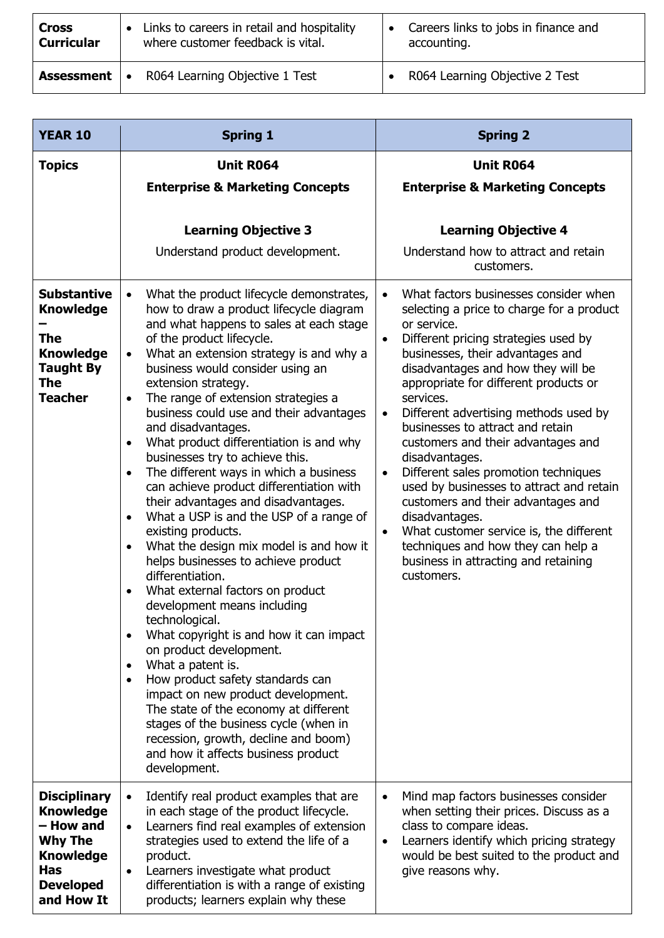| <b>Cross</b>      | Links to careers in retail and hospitality | Careers links to jobs in finance and |
|-------------------|--------------------------------------------|--------------------------------------|
| <b>Curricular</b> | where customer feedback is vital.          | accounting.                          |
| <b>Assessment</b> | R064 Learning Objective 1 Test             | R064 Learning Objective 2 Test       |

| <b>YEAR 10</b>                                                                                                                             | <b>Spring 1</b>                                                                                                                                                                                                                                                                                                                                                                                                                                                                                                                                                                                                                                                                                                                                                                                                                                                                                                                                                                                                                                                                                                                                                                                                                                                                                                                          | <b>Spring 2</b>                                                                                                                                                                                                                                                                                                                                                                                                                                                                                                                                                                                                                                                                                                                                                    |
|--------------------------------------------------------------------------------------------------------------------------------------------|------------------------------------------------------------------------------------------------------------------------------------------------------------------------------------------------------------------------------------------------------------------------------------------------------------------------------------------------------------------------------------------------------------------------------------------------------------------------------------------------------------------------------------------------------------------------------------------------------------------------------------------------------------------------------------------------------------------------------------------------------------------------------------------------------------------------------------------------------------------------------------------------------------------------------------------------------------------------------------------------------------------------------------------------------------------------------------------------------------------------------------------------------------------------------------------------------------------------------------------------------------------------------------------------------------------------------------------|--------------------------------------------------------------------------------------------------------------------------------------------------------------------------------------------------------------------------------------------------------------------------------------------------------------------------------------------------------------------------------------------------------------------------------------------------------------------------------------------------------------------------------------------------------------------------------------------------------------------------------------------------------------------------------------------------------------------------------------------------------------------|
| <b>Topics</b>                                                                                                                              | <b>Unit R064</b><br><b>Enterprise &amp; Marketing Concepts</b>                                                                                                                                                                                                                                                                                                                                                                                                                                                                                                                                                                                                                                                                                                                                                                                                                                                                                                                                                                                                                                                                                                                                                                                                                                                                           | <b>Unit R064</b><br><b>Enterprise &amp; Marketing Concepts</b>                                                                                                                                                                                                                                                                                                                                                                                                                                                                                                                                                                                                                                                                                                     |
|                                                                                                                                            | <b>Learning Objective 3</b><br>Understand product development.                                                                                                                                                                                                                                                                                                                                                                                                                                                                                                                                                                                                                                                                                                                                                                                                                                                                                                                                                                                                                                                                                                                                                                                                                                                                           | <b>Learning Objective 4</b><br>Understand how to attract and retain<br>customers.                                                                                                                                                                                                                                                                                                                                                                                                                                                                                                                                                                                                                                                                                  |
| <b>Substantive</b><br><b>Knowledge</b><br><b>The</b><br><b>Knowledge</b><br><b>Taught By</b><br><b>The</b><br><b>Teacher</b>               | What the product lifecycle demonstrates,<br>$\bullet$<br>how to draw a product lifecycle diagram<br>and what happens to sales at each stage<br>of the product lifecycle.<br>What an extension strategy is and why a<br>$\bullet$<br>business would consider using an<br>extension strategy.<br>The range of extension strategies a<br>$\bullet$<br>business could use and their advantages<br>and disadvantages.<br>What product differentiation is and why<br>$\bullet$<br>businesses try to achieve this.<br>The different ways in which a business<br>$\bullet$<br>can achieve product differentiation with<br>their advantages and disadvantages.<br>What a USP is and the USP of a range of<br>$\bullet$<br>existing products.<br>What the design mix model is and how it<br>$\bullet$<br>helps businesses to achieve product<br>differentiation.<br>What external factors on product<br>development means including<br>technological.<br>What copyright is and how it can impact<br>$\bullet$<br>on product development.<br>What a patent is.<br>$\bullet$<br>How product safety standards can<br>$\bullet$<br>impact on new product development.<br>The state of the economy at different<br>stages of the business cycle (when in<br>recession, growth, decline and boom)<br>and how it affects business product<br>development. | What factors businesses consider when<br>$\bullet$<br>selecting a price to charge for a product<br>or service.<br>Different pricing strategies used by<br>$\bullet$<br>businesses, their advantages and<br>disadvantages and how they will be<br>appropriate for different products or<br>services.<br>Different advertising methods used by<br>$\bullet$<br>businesses to attract and retain<br>customers and their advantages and<br>disadvantages.<br>Different sales promotion techniques<br>$\bullet$<br>used by businesses to attract and retain<br>customers and their advantages and<br>disadvantages.<br>What customer service is, the different<br>$\bullet$<br>techniques and how they can help a<br>business in attracting and retaining<br>customers. |
| <b>Disciplinary</b><br><b>Knowledge</b><br>- How and<br><b>Why The</b><br><b>Knowledge</b><br><b>Has</b><br><b>Developed</b><br>and How It | Identify real product examples that are<br>$\bullet$<br>in each stage of the product lifecycle.<br>Learners find real examples of extension<br>$\bullet$<br>strategies used to extend the life of a<br>product.<br>Learners investigate what product<br>$\bullet$<br>differentiation is with a range of existing<br>products; learners explain why these                                                                                                                                                                                                                                                                                                                                                                                                                                                                                                                                                                                                                                                                                                                                                                                                                                                                                                                                                                                 | Mind map factors businesses consider<br>$\bullet$<br>when setting their prices. Discuss as a<br>class to compare ideas.<br>Learners identify which pricing strategy<br>$\bullet$<br>would be best suited to the product and<br>give reasons why.                                                                                                                                                                                                                                                                                                                                                                                                                                                                                                                   |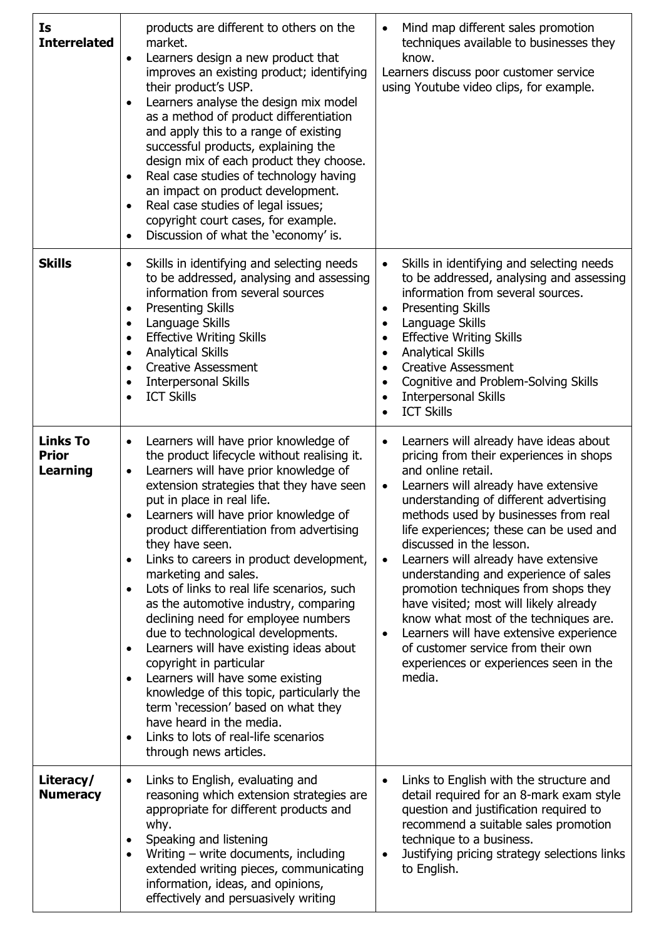| Is<br><b>Interrelated</b>                   | products are different to others on the<br>market.<br>Learners design a new product that<br>$\bullet$<br>improves an existing product; identifying<br>their product's USP.<br>Learners analyse the design mix model<br>as a method of product differentiation<br>and apply this to a range of existing<br>successful products, explaining the<br>design mix of each product they choose.<br>Real case studies of technology having<br>$\bullet$<br>an impact on product development.<br>Real case studies of legal issues;<br>$\bullet$<br>copyright court cases, for example.<br>Discussion of what the 'economy' is.<br>$\bullet$                                                                                                                                                                                                                                                                                                            | Mind map different sales promotion<br>$\bullet$<br>techniques available to businesses they<br>know.<br>Learners discuss poor customer service<br>using Youtube video clips, for example.                                                                                                                                                                                                                                                                                                                                                                                                                                                                                                                      |
|---------------------------------------------|------------------------------------------------------------------------------------------------------------------------------------------------------------------------------------------------------------------------------------------------------------------------------------------------------------------------------------------------------------------------------------------------------------------------------------------------------------------------------------------------------------------------------------------------------------------------------------------------------------------------------------------------------------------------------------------------------------------------------------------------------------------------------------------------------------------------------------------------------------------------------------------------------------------------------------------------|---------------------------------------------------------------------------------------------------------------------------------------------------------------------------------------------------------------------------------------------------------------------------------------------------------------------------------------------------------------------------------------------------------------------------------------------------------------------------------------------------------------------------------------------------------------------------------------------------------------------------------------------------------------------------------------------------------------|
| <b>Skills</b>                               | Skills in identifying and selecting needs<br>$\bullet$<br>to be addressed, analysing and assessing<br>information from several sources<br><b>Presenting Skills</b><br>٠<br>Language Skills<br>$\bullet$<br><b>Effective Writing Skills</b><br>$\bullet$<br><b>Analytical Skills</b><br>$\bullet$<br><b>Creative Assessment</b><br>$\bullet$<br><b>Interpersonal Skills</b><br>$\bullet$<br><b>ICT Skills</b><br>$\bullet$                                                                                                                                                                                                                                                                                                                                                                                                                                                                                                                      | Skills in identifying and selecting needs<br>$\bullet$<br>to be addressed, analysing and assessing<br>information from several sources.<br><b>Presenting Skills</b><br>$\bullet$<br>Language Skills<br>$\bullet$<br><b>Effective Writing Skills</b><br>$\bullet$<br><b>Analytical Skills</b><br>$\bullet$<br><b>Creative Assessment</b><br>Cognitive and Problem-Solving Skills<br>$\bullet$<br><b>Interpersonal Skills</b><br>$\bullet$<br><b>ICT Skills</b>                                                                                                                                                                                                                                                 |
| <b>Links To</b><br><b>Prior</b><br>Learning | Learners will have prior knowledge of<br>$\bullet$<br>the product lifecycle without realising it.<br>Learners will have prior knowledge of<br>$\bullet$<br>extension strategies that they have seen<br>put in place in real life.<br>Learners will have prior knowledge of<br>product differentiation from advertising<br>they have seen.<br>Links to careers in product development,<br>$\bullet$<br>marketing and sales.<br>Lots of links to real life scenarios, such<br>$\bullet$<br>as the automotive industry, comparing<br>declining need for employee numbers<br>due to technological developments.<br>Learners will have existing ideas about<br>$\bullet$<br>copyright in particular<br>Learners will have some existing<br>$\bullet$<br>knowledge of this topic, particularly the<br>term 'recession' based on what they<br>have heard in the media.<br>Links to lots of real-life scenarios<br>$\bullet$<br>through news articles. | Learners will already have ideas about<br>$\bullet$<br>pricing from their experiences in shops<br>and online retail.<br>Learners will already have extensive<br>$\bullet$<br>understanding of different advertising<br>methods used by businesses from real<br>life experiences; these can be used and<br>discussed in the lesson.<br>Learners will already have extensive<br>$\bullet$<br>understanding and experience of sales<br>promotion techniques from shops they<br>have visited; most will likely already<br>know what most of the techniques are.<br>Learners will have extensive experience<br>$\bullet$<br>of customer service from their own<br>experiences or experiences seen in the<br>media. |
| Literacy/<br><b>Numeracy</b>                | Links to English, evaluating and<br>$\bullet$<br>reasoning which extension strategies are<br>appropriate for different products and<br>why.<br>Speaking and listening<br>$\bullet$<br>Writing - write documents, including<br>$\bullet$<br>extended writing pieces, communicating<br>information, ideas, and opinions,<br>effectively and persuasively writing                                                                                                                                                                                                                                                                                                                                                                                                                                                                                                                                                                                 | Links to English with the structure and<br>$\bullet$<br>detail required for an 8-mark exam style<br>question and justification required to<br>recommend a suitable sales promotion<br>technique to a business.<br>Justifying pricing strategy selections links<br>$\bullet$<br>to English.                                                                                                                                                                                                                                                                                                                                                                                                                    |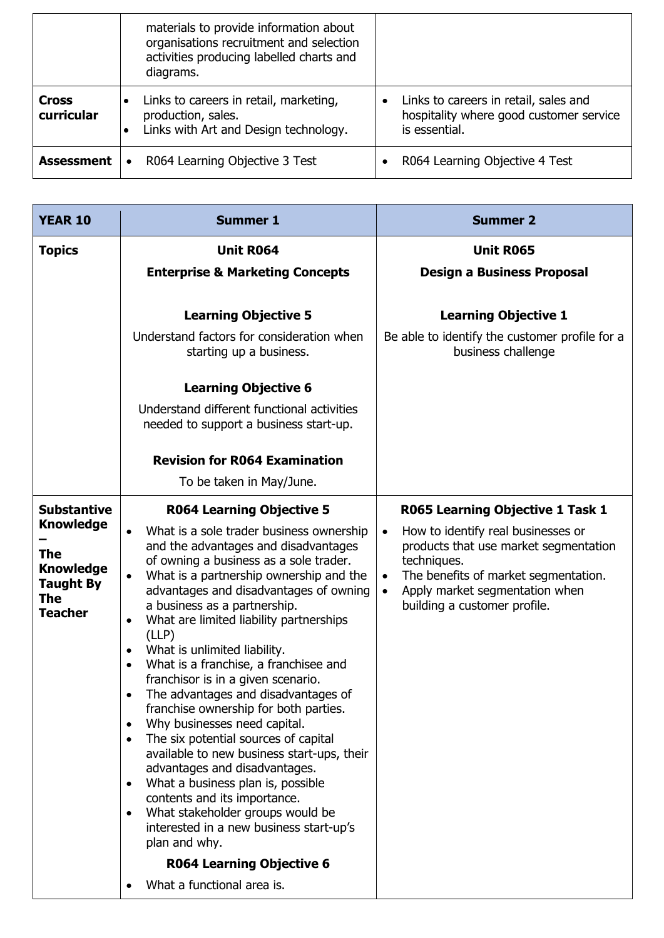|                            | materials to provide information about<br>organisations recruitment and selection<br>activities producing labelled charts and<br>diagrams. |                                                                                                   |
|----------------------------|--------------------------------------------------------------------------------------------------------------------------------------------|---------------------------------------------------------------------------------------------------|
| <b>Cross</b><br>curricular | Links to careers in retail, marketing,<br>production, sales.<br>Links with Art and Design technology.                                      | Links to careers in retail, sales and<br>hospitality where good customer service<br>is essential. |
| <b>Assessment</b>          | R064 Learning Objective 3 Test                                                                                                             | R064 Learning Objective 4 Test                                                                    |

| <b>Unit R064</b><br><b>Enterprise &amp; Marketing Concepts</b><br><b>Learning Objective 5</b><br>Understand factors for consideration when<br>starting up a business.<br><b>Learning Objective 6</b>                                                                                                                                                                                                                                                                                                                                                                                                                                                                                                                                                                                                                                                                                                                                                  | <b>Unit R065</b><br><b>Design a Business Proposal</b><br><b>Learning Objective 1</b><br>Be able to identify the customer profile for a<br>business challenge                                                                                |
|-------------------------------------------------------------------------------------------------------------------------------------------------------------------------------------------------------------------------------------------------------------------------------------------------------------------------------------------------------------------------------------------------------------------------------------------------------------------------------------------------------------------------------------------------------------------------------------------------------------------------------------------------------------------------------------------------------------------------------------------------------------------------------------------------------------------------------------------------------------------------------------------------------------------------------------------------------|---------------------------------------------------------------------------------------------------------------------------------------------------------------------------------------------------------------------------------------------|
|                                                                                                                                                                                                                                                                                                                                                                                                                                                                                                                                                                                                                                                                                                                                                                                                                                                                                                                                                       |                                                                                                                                                                                                                                             |
|                                                                                                                                                                                                                                                                                                                                                                                                                                                                                                                                                                                                                                                                                                                                                                                                                                                                                                                                                       |                                                                                                                                                                                                                                             |
|                                                                                                                                                                                                                                                                                                                                                                                                                                                                                                                                                                                                                                                                                                                                                                                                                                                                                                                                                       |                                                                                                                                                                                                                                             |
|                                                                                                                                                                                                                                                                                                                                                                                                                                                                                                                                                                                                                                                                                                                                                                                                                                                                                                                                                       |                                                                                                                                                                                                                                             |
|                                                                                                                                                                                                                                                                                                                                                                                                                                                                                                                                                                                                                                                                                                                                                                                                                                                                                                                                                       |                                                                                                                                                                                                                                             |
|                                                                                                                                                                                                                                                                                                                                                                                                                                                                                                                                                                                                                                                                                                                                                                                                                                                                                                                                                       |                                                                                                                                                                                                                                             |
| Understand different functional activities<br>needed to support a business start-up.                                                                                                                                                                                                                                                                                                                                                                                                                                                                                                                                                                                                                                                                                                                                                                                                                                                                  |                                                                                                                                                                                                                                             |
| <b>Revision for R064 Examination</b>                                                                                                                                                                                                                                                                                                                                                                                                                                                                                                                                                                                                                                                                                                                                                                                                                                                                                                                  |                                                                                                                                                                                                                                             |
| To be taken in May/June.                                                                                                                                                                                                                                                                                                                                                                                                                                                                                                                                                                                                                                                                                                                                                                                                                                                                                                                              |                                                                                                                                                                                                                                             |
| <b>R064 Learning Objective 5</b>                                                                                                                                                                                                                                                                                                                                                                                                                                                                                                                                                                                                                                                                                                                                                                                                                                                                                                                      | R065 Learning Objective 1 Task 1                                                                                                                                                                                                            |
| What is a sole trader business ownership<br>and the advantages and disadvantages<br>of owning a business as a sole trader.<br>What is a partnership ownership and the<br>advantages and disadvantages of owning<br>a business as a partnership.<br>What are limited liability partnerships<br>$\bullet$<br>(LLP)<br>What is unlimited liability.<br>$\bullet$<br>What is a franchise, a franchisee and<br>$\bullet$<br>franchisor is in a given scenario.<br>The advantages and disadvantages of<br>franchise ownership for both parties.<br>Why businesses need capital.<br>$\bullet$<br>The six potential sources of capital<br>$\bullet$<br>available to new business start-ups, their<br>advantages and disadvantages.<br>What a business plan is, possible<br>$\bullet$<br>contents and its importance.<br>What stakeholder groups would be<br>٠<br>interested in a new business start-up's<br>plan and why.<br><b>R064 Learning Objective 6</b> | How to identify real businesses or<br>$\bullet$<br>products that use market segmentation<br>techniques.<br>The benefits of market segmentation.<br>$\bullet$<br>Apply market segmentation when<br>$\bullet$<br>building a customer profile. |
|                                                                                                                                                                                                                                                                                                                                                                                                                                                                                                                                                                                                                                                                                                                                                                                                                                                                                                                                                       | What a functional area is.                                                                                                                                                                                                                  |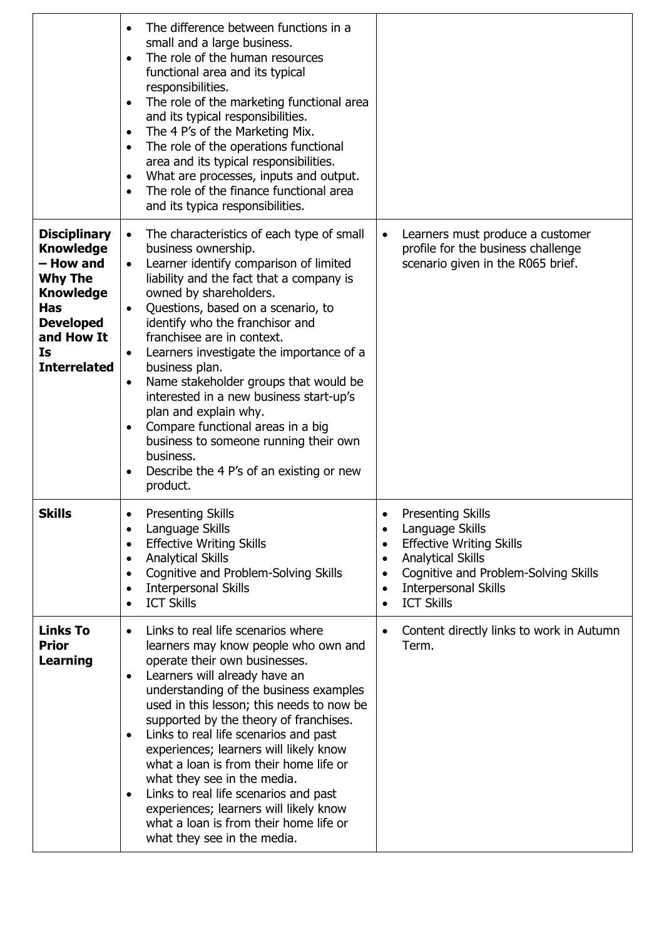|                                                                                                                                                                         | The difference between functions in a<br>$\bullet$<br>small and a large business.<br>The role of the human resources<br>$\bullet$<br>functional area and its typical<br>responsibilities.<br>The role of the marketing functional area<br>$\bullet$<br>and its typical responsibilities.<br>The 4 P's of the Marketing Mix.<br>$\bullet$<br>The role of the operations functional<br>$\bullet$<br>area and its typical responsibilities.<br>What are processes, inputs and output.<br>٠<br>The role of the finance functional area<br>$\bullet$<br>and its typica responsibilities.                                                                                                    |                                                                                                                                                                                                                                                                                                   |
|-------------------------------------------------------------------------------------------------------------------------------------------------------------------------|----------------------------------------------------------------------------------------------------------------------------------------------------------------------------------------------------------------------------------------------------------------------------------------------------------------------------------------------------------------------------------------------------------------------------------------------------------------------------------------------------------------------------------------------------------------------------------------------------------------------------------------------------------------------------------------|---------------------------------------------------------------------------------------------------------------------------------------------------------------------------------------------------------------------------------------------------------------------------------------------------|
| <b>Disciplinary</b><br><b>Knowledge</b><br>- How and<br><b>Why The</b><br><b>Knowledge</b><br><b>Has</b><br><b>Developed</b><br>and How It<br>Is<br><b>Interrelated</b> | The characteristics of each type of small<br>$\bullet$<br>business ownership.<br>Learner identify comparison of limited<br>liability and the fact that a company is<br>owned by shareholders.<br>Questions, based on a scenario, to<br>$\bullet$<br>identify who the franchisor and<br>franchisee are in context.<br>Learners investigate the importance of a<br>$\bullet$<br>business plan.<br>Name stakeholder groups that would be<br>$\bullet$<br>interested in a new business start-up's<br>plan and explain why.<br>Compare functional areas in a big<br>$\bullet$<br>business to someone running their own<br>business.<br>Describe the 4 P's of an existing or new<br>product. | Learners must produce a customer<br>$\bullet$<br>profile for the business challenge<br>scenario given in the R065 brief.                                                                                                                                                                          |
| <b>Skills</b>                                                                                                                                                           | <b>Presenting Skills</b><br>Language Skills<br>٠<br><b>Effective Writing Skills</b><br>$\bullet$<br><b>Analytical Skills</b><br>$\bullet$<br>Cognitive and Problem-Solving Skills<br>$\bullet$<br><b>Interpersonal Skills</b><br>$\bullet$<br><b>ICT Skills</b><br>$\bullet$                                                                                                                                                                                                                                                                                                                                                                                                           | <b>Presenting Skills</b><br>$\bullet$<br>Language Skills<br>$\bullet$<br><b>Effective Writing Skills</b><br>$\bullet$<br><b>Analytical Skills</b><br>$\bullet$<br>Cognitive and Problem-Solving Skills<br>$\bullet$<br><b>Interpersonal Skills</b><br>$\bullet$<br><b>ICT Skills</b><br>$\bullet$ |
| <b>Links To</b><br><b>Prior</b><br><b>Learning</b>                                                                                                                      | Links to real life scenarios where<br>$\bullet$<br>learners may know people who own and<br>operate their own businesses.<br>Learners will already have an<br>٠<br>understanding of the business examples<br>used in this lesson; this needs to now be<br>supported by the theory of franchises.<br>Links to real life scenarios and past<br>٠<br>experiences; learners will likely know<br>what a loan is from their home life or<br>what they see in the media.<br>Links to real life scenarios and past<br>٠<br>experiences; learners will likely know<br>what a loan is from their home life or<br>what they see in the media.                                                      | Content directly links to work in Autumn<br>$\bullet$<br>Term.                                                                                                                                                                                                                                    |